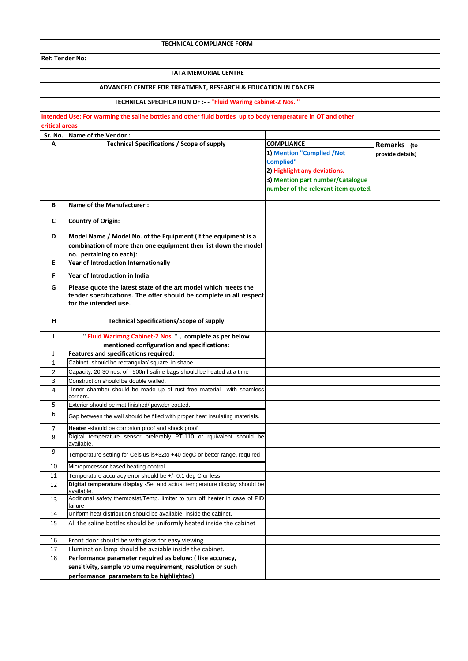| <b>TECHNICAL COMPLIANCE FORM</b> |                                                                                                             |                                                |                  |
|----------------------------------|-------------------------------------------------------------------------------------------------------------|------------------------------------------------|------------------|
| <b>Ref: Tender No:</b>           |                                                                                                             |                                                |                  |
|                                  |                                                                                                             |                                                |                  |
|                                  |                                                                                                             |                                                |                  |
|                                  | ADVANCED CENTRE FOR TREATMENT, RESEARCH & EDUCATION IN CANCER                                               |                                                |                  |
|                                  | TECHNICAL SPECIFICATION OF :- - "Fluid Warimg cabinet-2 Nos. "                                              |                                                |                  |
|                                  | Intended Use: For warming the saline bottles and other fluid bottles up to body temperature in OT and other |                                                |                  |
| critical areas                   |                                                                                                             |                                                |                  |
|                                  | Sr. No. Name of the Vendor:                                                                                 |                                                |                  |
| Α                                | <b>Technical Specifications / Scope of supply</b>                                                           | <b>COMPLIANCE</b><br>1) Mention "Complied /Not | Remarks (to      |
|                                  |                                                                                                             | <b>Complied"</b>                               | provide details) |
|                                  |                                                                                                             | 2) Highlight any deviations.                   |                  |
|                                  |                                                                                                             | 3) Mention part number/Catalogue               |                  |
|                                  |                                                                                                             | number of the relevant item quoted.            |                  |
| В                                | <b>Name of the Manufacturer:</b>                                                                            |                                                |                  |
| C                                | <b>Country of Origin:</b>                                                                                   |                                                |                  |
|                                  |                                                                                                             |                                                |                  |
| D                                | Model Name / Model No. of the Equipment (If the equipment is a                                              |                                                |                  |
|                                  | combination of more than one equipment then list down the model<br>no. pertaining to each):                 |                                                |                  |
| E.                               | Year of Introduction Internationally                                                                        |                                                |                  |
| F                                | Year of Introduction in India                                                                               |                                                |                  |
| G                                | Please quote the latest state of the art model which meets the                                              |                                                |                  |
|                                  | tender specifications. The offer should be complete in all respect                                          |                                                |                  |
|                                  | for the intended use.                                                                                       |                                                |                  |
| н                                | <b>Technical Specifications/Scope of supply</b>                                                             |                                                |                  |
| $\mathbf{I}$                     | "Fluid Warimng Cabinet-2 Nos.", complete as per below                                                       |                                                |                  |
|                                  | mentioned configuration and specifications:                                                                 |                                                |                  |
| J                                | Features and specifications required:                                                                       |                                                |                  |
| 1                                | Cabinet should be rectangular/ square in shape.                                                             |                                                |                  |
| $\overline{2}$                   | Capacity: 20-30 nos. of 500ml saline bags should be heated at a time                                        |                                                |                  |
| 3                                | Construction should be double walled.                                                                       |                                                |                  |
| 4                                | Inner chamber should be made up of rust free material with seamless<br>corners.                             |                                                |                  |
| 5                                | Exterior should be mat finished/ powder coated.                                                             |                                                |                  |
| 6                                | Gap between the wall should be filled with proper heat insulating materials.                                |                                                |                  |
| 7                                | Heater -should be corrosion proof and shock proof                                                           |                                                |                  |
| 8                                | Digital temperature sensor preferably PT-110 or rquivalent should be<br>available.                          |                                                |                  |
| 9                                | Temperature setting for Celsius is+32to +40 degC or better range. required                                  |                                                |                  |
| 10                               | Microprocessor based heating control.                                                                       |                                                |                  |
| 11                               | Temperature accuracy error should be +/- 0.1 deg C or less                                                  |                                                |                  |
| 12                               | Digital temperature display -Set and actual temperature display should be<br>available.                     |                                                |                  |
| 13                               | Additional safety thermostat/Temp. limiter to turn off heater in case of PID<br>failure                     |                                                |                  |
| 14                               | Uniform heat distribution should be available inside the cabinet.                                           |                                                |                  |
| 15                               | All the saline bottles should be uniformly heated inside the cabinet                                        |                                                |                  |
| 16                               | Front door should be with glass for easy viewing                                                            |                                                |                  |
| 17                               | Illumination lamp should be avaiable inside the cabinet.                                                    |                                                |                  |
| 18                               | Performance parameter required as below: ( like accuracy,                                                   |                                                |                  |
|                                  | sensitivity, sample volume requirement, resolution or such<br>performance parameters to be highlighted)     |                                                |                  |
|                                  |                                                                                                             |                                                |                  |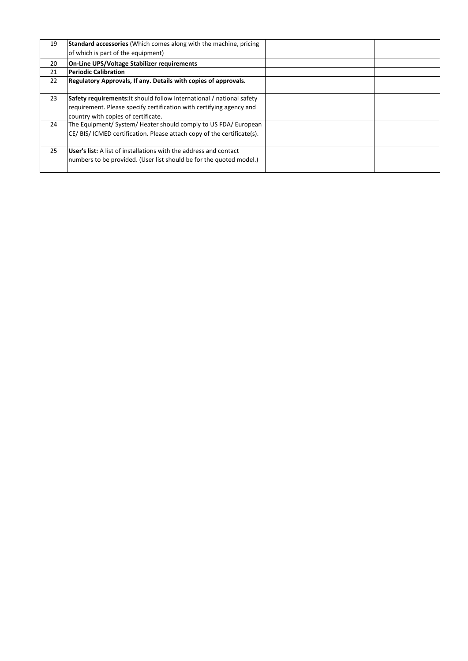| 19 | <b>Standard accessories</b> (Which comes along with the machine, pricing<br>of which is part of the equipment)                                                                       |  |
|----|--------------------------------------------------------------------------------------------------------------------------------------------------------------------------------------|--|
| 20 | <b>On-Line UPS/Voltage Stabilizer requirements</b>                                                                                                                                   |  |
| 21 | <b>Periodic Calibration</b>                                                                                                                                                          |  |
| 22 | Regulatory Approvals, If any. Details with copies of approvals.                                                                                                                      |  |
| 23 | Safety requirements: It should follow International / national safety<br>requirement. Please specify certification with certifying agency and<br>country with copies of certificate. |  |
| 24 | The Equipment/ System/ Heater should comply to US FDA/ European<br>CE/BIS/ICMED certification. Please attach copy of the certificate(s).                                             |  |
| 25 | User's list: A list of installations with the address and contact<br>numbers to be provided. (User list should be for the quoted model.)                                             |  |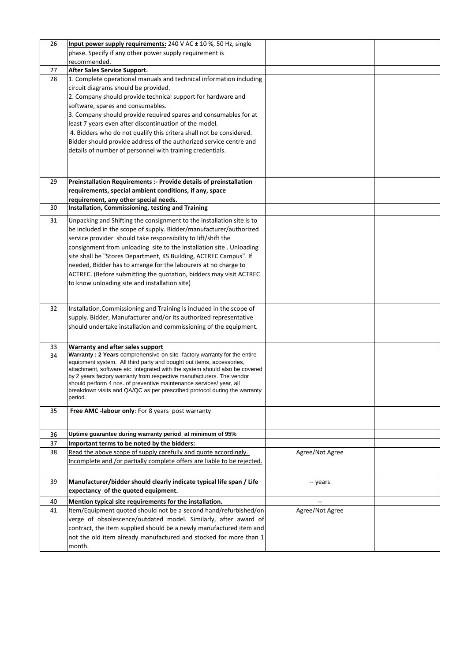| 26 | Input power supply requirements: 240 V AC ± 10 %, 50 Hz, single<br>phase. Specify if any other power supply requirement is<br>recommended.                                                                                                                                                                                                                                                                                                                                                                                                         |                 |  |
|----|----------------------------------------------------------------------------------------------------------------------------------------------------------------------------------------------------------------------------------------------------------------------------------------------------------------------------------------------------------------------------------------------------------------------------------------------------------------------------------------------------------------------------------------------------|-----------------|--|
| 27 | <b>After Sales Service Support.</b>                                                                                                                                                                                                                                                                                                                                                                                                                                                                                                                |                 |  |
| 28 | 1. Complete operational manuals and technical information including<br>circuit diagrams should be provided.<br>2. Company should provide technical support for hardware and<br>software, spares and consumables.                                                                                                                                                                                                                                                                                                                                   |                 |  |
|    | 3. Company should provide required spares and consumables for at<br>least 7 years even after discontinuation of the model.<br>4. Bidders who do not qualify this critera shall not be considered.                                                                                                                                                                                                                                                                                                                                                  |                 |  |
|    | Bidder should provide address of the authorized service centre and<br>details of number of personnel with training credentials.                                                                                                                                                                                                                                                                                                                                                                                                                    |                 |  |
| 29 | Preinstallation Requirements :- Provide details of preinstallation<br>requirements, special ambient conditions, if any, space<br>requirement, any other special needs.                                                                                                                                                                                                                                                                                                                                                                             |                 |  |
| 30 | Installation, Commissioning, testing and Training                                                                                                                                                                                                                                                                                                                                                                                                                                                                                                  |                 |  |
| 31 | Unpacking and Shifting the consignment to the installation site is to<br>be included in the scope of supply. Bidder/manufacturer/authorized<br>service provider should take responsibility to lift/shift the<br>consignment from unloading site to the installation site. Unloading<br>site shall be "Stores Department, KS Building, ACTREC Campus". If<br>needed, Bidder has to arrange for the labourers at no charge to<br>ACTREC. (Before submitting the quotation, bidders may visit ACTREC<br>to know unloading site and installation site) |                 |  |
| 32 | Installation, Commissioning and Training is included in the scope of<br>supply. Bidder, Manufacturer and/or its authorized representative<br>should undertake installation and commissioning of the equipment.                                                                                                                                                                                                                                                                                                                                     |                 |  |
| 33 | <b>Warranty and after sales support</b>                                                                                                                                                                                                                                                                                                                                                                                                                                                                                                            |                 |  |
| 34 | Warranty: 2 Years comprehensive-on site-factory warranty for the entire<br>equipment system. All third party and bought out items, accessories,<br>attachment, software etc. integrated with the system should also be covered<br>by 2 years factory warranty from respective manufacturers. The vendor<br>should perform 4 nos. of preventive maintenance services/ year, all<br>breakdown visits and QA/QC as per prescribed protocol during the warranty<br>period.                                                                             |                 |  |
| 35 | Free AMC -labour only: For 8 years post warranty                                                                                                                                                                                                                                                                                                                                                                                                                                                                                                   |                 |  |
| 36 | Uptime guarantee during warranty period at minimum of 95%                                                                                                                                                                                                                                                                                                                                                                                                                                                                                          |                 |  |
| 37 | Important terms to be noted by the bidders:                                                                                                                                                                                                                                                                                                                                                                                                                                                                                                        |                 |  |
| 38 | Read the above scope of supply carefully and quote accordingly.<br>Incomplete and /or partially complete offers are liable to be rejected.                                                                                                                                                                                                                                                                                                                                                                                                         | Agree/Not Agree |  |
| 39 | Manufacturer/bidder should clearly indicate typical life span / Life<br>expectancy of the quoted equipment.                                                                                                                                                                                                                                                                                                                                                                                                                                        | -- years        |  |
| 40 | Mention typical site requirements for the installation.                                                                                                                                                                                                                                                                                                                                                                                                                                                                                            |                 |  |
| 41 | Item/Equipment quoted should not be a second hand/refurbished/on<br>verge of obsolescence/outdated model. Similarly, after award of<br>contract, the item supplied should be a newly manufactured item and<br>not the old item already manufactured and stocked for more than 1<br>month.                                                                                                                                                                                                                                                          | Agree/Not Agree |  |